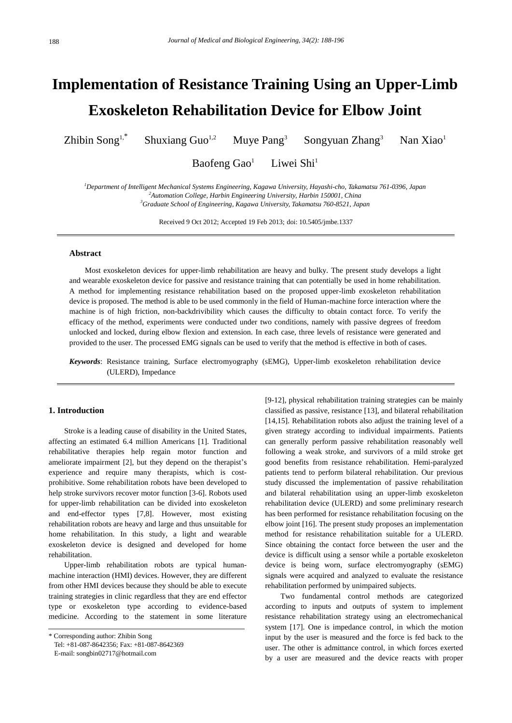# **Implementation of Resistance Training Using an Upper-Limb Exoskeleton Rehabilitation Device for Elbow Joint**

Zhibin Song1,\* Shuxiang  $Guo^{1,2}$ Muye Pang<sup>3</sup> Songyuan Zhang<sup>3</sup> Nan Xiao<sup>1</sup>

> Baofeng Gao<sup>1</sup> Liwei Shi<sup>1</sup>

*<sup>1</sup>Department of Intelligent Mechanical Systems Engineering, Kagawa University, Hayashi-cho, Takamatsu 761-0396, Japan <sup>2</sup>Automation College, Harbin Engineering University, Harbin 150001, China <sup>3</sup>Graduate School of Engineering, Kagawa University, Takamatsu 760-8521, Japan*

Received 9 Oct 2012; Accepted 19 Feb 2013; doi: 10.5405/jmbe.1337

## **Abstract**

Most exoskeleton devices for upper-limb rehabilitation are heavy and bulky. The present study develops a light and wearable exoskeleton device for passive and resistance training that can potentially be used in home rehabilitation. A method for implementing resistance rehabilitation based on the proposed upper-limb exoskeleton rehabilitation device is proposed. The method is able to be used commonly in the field of Human-machine force interaction where the machine is of high friction, non-backdrivibility which causes the difficulty to obtain contact force. To verify the efficacy of the method, experiments were conducted under two conditions, namely with passive degrees of freedom unlocked and locked, during elbow flexion and extension. In each case, three levels of resistance were generated and provided to the user. The processed EMG signals can be used to verify that the method is effective in both of cases.

*Keywords*: Resistance training, Surface electromyography (sEMG), Upper-limb exoskeleton rehabilitation device (ULERD), Impedance

# **1. Introduction**

Stroke is a leading cause of disability in the United States, affecting an estimated 6.4 million Americans [1]. Traditional rehabilitative therapies help regain motor function and ameliorate impairment [2], but they depend on the therapist's experience and require many therapists, which is costprohibitive. Some rehabilitation robots have been developed to help stroke survivors recover motor function [3-6]. Robots used for upper-limb rehabilitation can be divided into exoskeleton and end-effector types [7,8]. However, most existing rehabilitation robots are heavy and large and thus unsuitable for home rehabilitation. In this study, a light and wearable exoskeleton device is designed and developed for home rehabilitation.

Upper-limb rehabilitation robots are typical humanmachine interaction (HMI) devices. However, they are different from other HMI devices because they should be able to execute training strategies in clinic regardless that they are end effector type or exoskeleton type according to evidence-based medicine. According to the statement in some literature

\* Corresponding author: Zhibin Song Tel: +81-087-8642356; Fax: +81-087-8642369

E-mail: songbin02717@hotmail.com

[9-12], physical rehabilitation training strategies can be mainly classified as passive, resistance [13], and bilateral rehabilitation [14,15]. Rehabilitation robots also adjust the training level of a given strategy according to individual impairments. Patients can generally perform passive rehabilitation reasonably well following a weak stroke, and survivors of a mild stroke get good benefits from resistance rehabilitation. Hemi-paralyzed patients tend to perform bilateral rehabilitation. Our previous study discussed the implementation of passive rehabilitation and bilateral rehabilitation using an upper-limb exoskeleton rehabilitation device (ULERD) and some preliminary research has been performed for resistance rehabilitation focusing on the elbow joint [16]. The present study proposes an implementation method for resistance rehabilitation suitable for a ULERD. Since obtaining the contact force between the user and the device is difficult using a sensor while a portable exoskeleton device is being worn, surface electromyography (sEMG) signals were acquired and analyzed to evaluate the resistance rehabilitation performed by unimpaired subjects.

Two fundamental control methods are categorized according to inputs and outputs of system to implement resistance rehabilitation strategy using an electromechanical system [17]. One is impedance control, in which the motion input by the user is measured and the force is fed back to the user. The other is admittance control, in which forces exerted by a user are measured and the device reacts with proper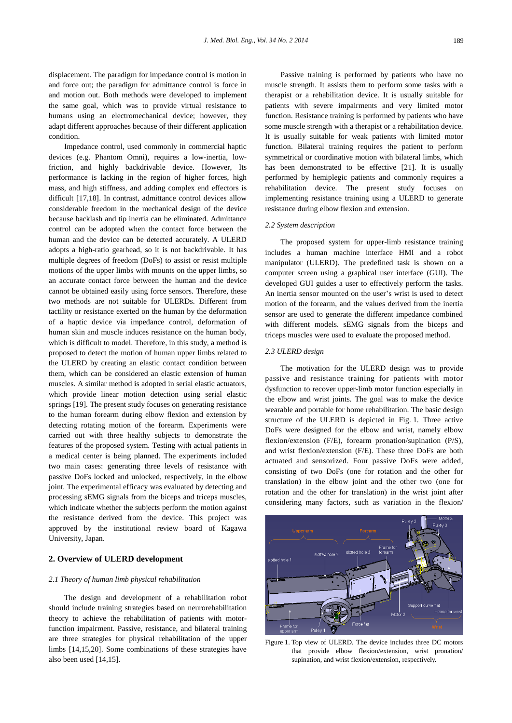displacement. The paradigm for impedance control is motion in and force out; the paradigm for admittance control is force in and motion out. Both methods were developed to implement the same goal, which was to provide virtual resistance to humans using an electromechanical device; however, they adapt different approaches because of their different application condition.

Impedance control, used commonly in commercial haptic devices (e.g. Phantom Omni), requires a low-inertia, lowfriction, and highly backdrivable device. However, Its performance is lacking in the region of higher forces, high mass, and high stiffness, and adding complex end effectors is difficult [17,18]. In contrast, admittance control devices allow considerable freedom in the mechanical design of the device because backlash and tip inertia can be eliminated. Admittance control can be adopted when the contact force between the human and the device can be detected accurately. A ULERD adopts a high-ratio gearhead, so it is not backdrivable. It has multiple degrees of freedom (DoFs) to assist or resist multiple motions of the upper limbs with mounts on the upper limbs, so an accurate contact force between the human and the device cannot be obtained easily using force sensors. Therefore, these two methods are not suitable for ULERDs. Different from tactility or resistance exerted on the human by the deformation of a haptic device via impedance control, deformation of human skin and muscle induces resistance on the human body, which is difficult to model. Therefore, in this study, a method is proposed to detect the motion of human upper limbs related to the ULERD by creating an elastic contact condition between them, which can be considered an elastic extension of human muscles. A similar method is adopted in serial elastic actuators, which provide linear motion detection using serial elastic springs [19]. The present study focuses on generating resistance to the human forearm during elbow flexion and extension by detecting rotating motion of the forearm. Experiments were carried out with three healthy subjects to demonstrate the features of the proposed system. Testing with actual patients in a medical center is being planned. The experiments included two main cases: generating three levels of resistance with passive DoFs locked and unlocked, respectively, in the elbow joint. The experimental efficacy was evaluated by detecting and processing sEMG signals from the biceps and triceps muscles, which indicate whether the subjects perform the motion against the resistance derived from the device. This project was approved by the institutional review board of Kagawa University, Japan.

# **2. Overview of ULERD development**

#### *2.1 Theory of human limb physical rehabilitation*

The design and development of a rehabilitation robot should include training strategies based on neurorehabilitation theory to achieve the rehabilitation of patients with motorfunction impairment. Passive, resistance, and bilateral training are three strategies for physical rehabilitation of the upper limbs [14,15,20]. Some combinations of these strategies have also been used [14,15].

Passive training is performed by patients who have no muscle strength. It assists them to perform some tasks with a therapist or a rehabilitation device. It is usually suitable for patients with severe impairments and very limited motor function. Resistance training is performed by patients who have some muscle strength with a therapist or a rehabilitation device. It is usually suitable for weak patients with limited motor function. Bilateral training requires the patient to perform symmetrical or coordinative motion with bilateral limbs, which has been demonstrated to be effective [21]. It is usually performed by hemiplegic patients and commonly requires a rehabilitation device. The present study focuses on implementing resistance training using a ULERD to generate resistance during elbow flexion and extension.

#### *2.2 System description*

The proposed system for upper-limb resistance training includes a human machine interface HMI and a robot manipulator (ULERD). The predefined task is shown on a computer screen using a graphical user interface (GUI). The developed GUI guides a user to effectively perform the tasks. An inertia sensor mounted on the user's wrist is used to detect motion of the forearm, and the values derived from the inertia sensor are used to generate the different impedance combined with different models. sEMG signals from the biceps and triceps muscles were used to evaluate the proposed method.

## *2.3 ULERD design*

The motivation for the ULERD design was to provide passive and resistance training for patients with motor dysfunction to recover upper-limb motor function especially in the elbow and wrist joints. The goal was to make the device wearable and portable for home rehabilitation. The basic design structure of the ULERD is depicted in Fig. 1. Three active DoFs were designed for the elbow and wrist, namely elbow flexion/extension (F/E), forearm pronation/supination (P/S), and wrist flexion/extension (F/E). These three DoFs are both actuated and sensorized. Four passive DoFs were added, consisting of two DoFs (one for rotation and the other for translation) in the elbow joint and the other two (one for rotation and the other for translation) in the wrist joint after considering many factors, such as variation in the flexion/



Figure 1. Top view of ULERD. The device includes three DC motors that provide elbow flexion/extension, wrist pronation/ supination, and wrist flexion/extension, respectively.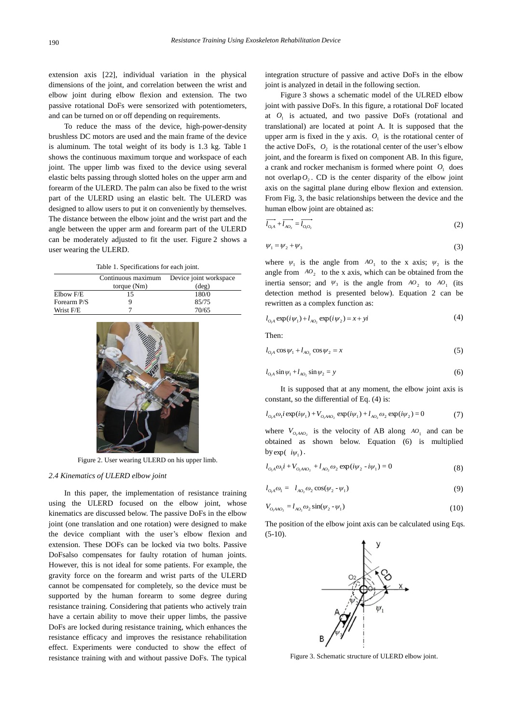extension axis [22], individual variation in the physical dimensions of the joint, and correlation between the wrist and elbow joint during elbow flexion and extension. The two passive rotational DoFs were sensorized with potentiometers, and can be turned on or off depending on requirements.

To reduce the mass of the device, high-power-density brushless DC motors are used and the main frame of the device is aluminum. The total weight of its body is 1.3 kg. Table 1 shows the continuous maximum torque and workspace of each joint. The upper limb was fixed to the device using several elastic belts passing through slotted holes on the upper arm and forearm of the ULERD. The palm can also be fixed to the wrist part of the ULERD using an elastic belt. The ULERD was designed to allow users to put it on conveniently by themselves. The distance between the elbow joint and the wrist part and the angle between the upper arm and forearm part of the ULERD can be moderately adjusted to fit the user. Figure 2 shows a user wearing the ULERD.

Table 1. Specifications for each joint.

|             | Continuous maximum | Device joint workspace |  |  |
|-------------|--------------------|------------------------|--|--|
|             | torque $(Nm)$      | $(\text{deg})$         |  |  |
| Elbow F/E   | 15                 | 180/0                  |  |  |
| Forearm P/S | g                  | 85/75                  |  |  |
| Wrist F/E   |                    | 70/65                  |  |  |



Figure 2. User wearing ULERD on his upper limb.

#### *2.4 Kinematics of ULERD elbow joint*

In this paper, the implementation of resistance training using the ULERD focused on the elbow joint, whose kinematics are discussed below. The passive DoFs in the elbow joint (one translation and one rotation) were designed to make the device compliant with the user's elbow flexion and extension. These DOFs can be locked via two bolts. Passive DoFsalso compensates for faulty rotation of human joints. However, this is not ideal for some patients. For example, the gravity force on the forearm and wrist parts of the ULERD cannot be compensated for completely, so the device must be supported by the human forearm to some degree during resistance training. Considering that patients who actively train have a certain ability to move their upper limbs, the passive DoFs are locked during resistance training, which enhances the resistance efficacy and improves the resistance rehabilitation effect. Experiments were conducted to show the effect of resistance training with and without passive DoFs. The typical integration structure of passive and active DoFs in the elbow joint is analyzed in detail in the following section.

Figure 3 shows a schematic model of the ULRED elbow joint with passive DoFs. In this figure, a rotational DoF located at  $O<sub>1</sub>$  is actuated, and two passive DoFs (rotational and translational) are located at point A. It is supposed that the upper arm is fixed in the y axis.  $O<sub>1</sub>$  is the rotational center of the active DoFs,  $O_2$  is the rotational center of the user's elbow joint, and the forearm is fixed on component AB. In this figure, a crank and rocker mechanism is formed where point  $O<sub>1</sub>$  does not overlap  $O_2$ . CD is the center disparity of the elbow joint axis on the sagittal plane during elbow flexion and extension. From Fig. 3, the basic relationships between the device and the human elbow joint are obtained as:

$$
\overline{l_{0A}} + \overline{l_{AO_2}} = \overline{l_{0A_2}} \tag{2}
$$

$$
\psi_1 = \psi_2 + \psi_3 \tag{3}
$$

where  $\psi_1$  is the angle from  $AO_1$  to the x axis;  $\psi_2$  is the angle from  $^{AO}$ <sub>2</sub> to the x axis, which can be obtained from the inertia sensor; and  $\Psi_3$  is the angle from  $AO_2$  to  $AO_1$  (its detection method is presented below). Equation 2 can be rewritten as a complex function as:

$$
l_{O_1A} \exp(i\psi_1) + l_{AO_2} \exp(i\psi_2) = x + yi \tag{4}
$$

Then:

$$
l_{O1} \cos \psi_1 + l_{AO_2} \cos \psi_2 = x \tag{5}
$$

$$
l_{O_1 A} \sin \psi_1 + l_{A O_2} \sin \psi_2 = y \tag{6}
$$

It is supposed that at any moment, the elbow joint axis is constant, so the differential of Eq. (4) is:

$$
l_{O_1A} \omega_1 i \exp(i\psi_1) + V_{O_1AAO_2} \exp(i\psi_1) + l_{AO_2} \omega_2 \exp(i\psi_2) = 0
$$
 (7)

where  $V_{O_1 A A O_2}$  is the velocity of AB along  $A O_1$  and can be obtained as shown below. Equation (6) is multiplied  $by exp(-i\psi_1)$ .

$$
l_{O_1A} \omega_1 i + V_{O_1AAO_2} + l_{AO_2} \omega_2 \exp(i\psi_2 - i\psi_1) = 0
$$
\n(8)

$$
l_{O_1A} \omega_1 = l_{A O_2} \omega_2 \cos(\psi_2 - \psi_1) \tag{9}
$$

$$
V_{O_1 A A O_2} = l_{A O_2} \omega_2 \sin(\psi_2 - \psi_1)
$$
 (10)

The position of the elbow joint axis can be calculated using Eqs.  $(5-10)$ .



Figure 3. Schematic structure of ULERD elbow joint.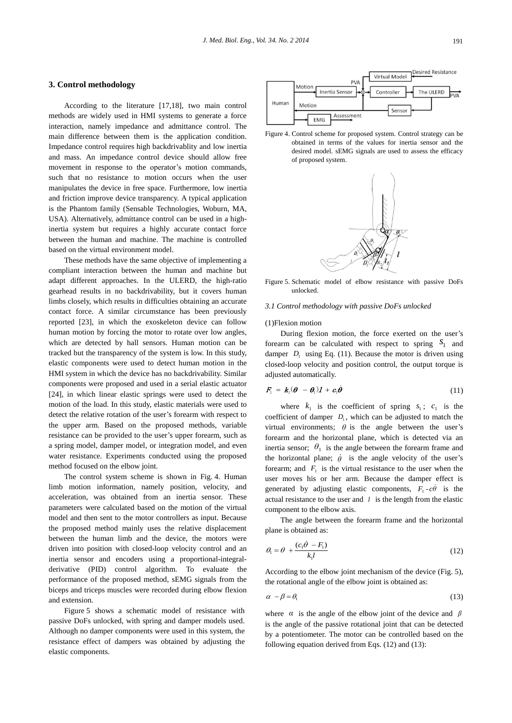# **3. Control methodology**

According to the literature [17,18], two main control methods are widely used in HMI systems to generate a force interaction, namely impedance and admittance control. The main difference between them is the application condition. Impedance control requires high backdrivablity and low inertia and mass. An impedance control device should allow free movement in response to the operator's motion commands, such that no resistance to motion occurs when the user manipulates the device in free space. Furthermore, low inertia and friction improve device transparency. A typical application is the Phantom family (Sensable Technologies, Woburn, MA, USA). Alternatively, admittance control can be used in a highinertia system but requires a highly accurate contact force between the human and machine. The machine is controlled based on the virtual environment model.

These methods have the same objective of implementing a compliant interaction between the human and machine but adapt different approaches. In the ULERD, the high-ratio gearhead results in no backdrivability, but it covers human limbs closely, which results in difficulties obtaining an accurate contact force. A similar circumstance has been previously reported [23], in which the exoskeleton device can follow human motion by forcing the motor to rotate over low angles, which are detected by hall sensors. Human motion can be tracked but the transparency of the system is low. In this study, elastic components were used to detect human motion in the HMI system in which the device has no backdrivability. Similar components were proposed and used in a serial elastic actuator [24], in which linear elastic springs were used to detect the motion of the load. In this study, elastic materials were used to detect the relative rotation of the user's forearm with respect to the upper arm. Based on the proposed methods, variable resistance can be provided to the user's upper forearm, such as a spring model, damper model, or integration model, and even water resistance. Experiments conducted using the proposed method focused on the elbow joint.

The control system scheme is shown in Fig. 4. Human limb motion information, namely position, velocity, and acceleration, was obtained from an inertia sensor. These parameters were calculated based on the motion of the virtual model and then sent to the motor controllers as input. Because the proposed method mainly uses the relative displacement between the human limb and the device, the motors were driven into position with closed-loop velocity control and an inertia sensor and encoders using a proportional-integralderivative (PID) control algorithm. To evaluate the performance of the proposed method, sEMG signals from the biceps and triceps muscles were recorded during elbow flexion and extension.

Figure 5 shows a schematic model of resistance with passive DoFs unlocked, with spring and damper models used. Although no damper components were used in this system, the resistance effect of dampers was obtained by adjusting the elastic components.



Figure 4. Control scheme for proposed system. Control strategy can be obtained in terms of the values for inertia sensor and the desired model. sEMG signals are used to assess the efficacy of proposed system.



Figure 5. Schematic model of elbow resistance with passive DoFs unlocked.

# *3.1 Control methodology with passive DoFs unlocked*

# (1)Flexion motion

During flexion motion, the force exerted on the user's forearm can be calculated with respect to spring  $S_1$  and damper  $D_1$  using Eq. (11). Because the motor is driven using closed-loop velocity and position control, the output torque is adjusted automatically.

$$
F_1 = k_1(\boldsymbol{\theta} - \boldsymbol{\theta}_1) \boldsymbol{I} + c_1 \dot{\boldsymbol{\theta}} \qquad (11)
$$

where  $k_1$  is the coefficient of spring  $s_1$ ;  $c_1$  is the coefficient of damper  $D_1$ , which can be adjusted to match the virtual environments;  $\theta$  is the angle between the user's forearm and the horizontal plane, which is detected via an inertia sensor;  $\theta_1$  is the angle between the forearm frame and the horizontal plane;  $\dot{\theta}$  is the angle velocity of the user's forearm; and  $F_1$  is the virtual resistance to the user when the user moves his or her arm. Because the damper effect is generated by adjusting elastic components,  $F_1 - c\dot{\theta}$  is the actual resistance to the user and  $l$  is the length from the elastic component to the elbow axis.

The angle between the forearm frame and the horizontal plane is obtained as:

$$
\theta_{\rm i} = \theta + \frac{(c_{\rm i}\dot{\theta} - F_{\rm i})}{k_{\rm i}l} \tag{12}
$$

According to the elbow joint mechanism of the device (Fig. 5), the rotational angle of the elbow joint is obtained as:

$$
\alpha - \beta = \theta_1 \tag{13}
$$

where  $\alpha$  is the angle of the elbow joint of the device and  $\beta$ is the angle of the passive rotational joint that can be detected by a potentiometer. The motor can be controlled based on the following equation derived from Eqs. (12) and (13):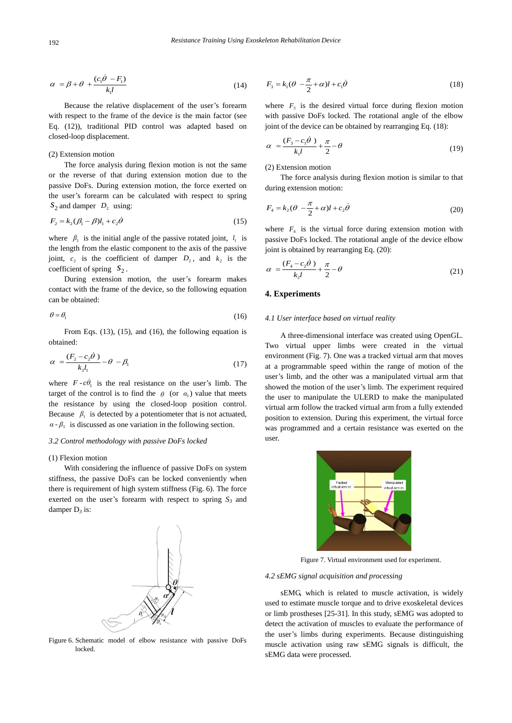$$
\alpha = \beta + \theta + \frac{(c_1\dot{\theta} - F_1)}{k_1 l} \tag{14}
$$

Because the relative displacement of the user's forearm with respect to the frame of the device is the main factor (see Eq. (12)), traditional PID control was adapted based on closed-loop displacement.

## (2) Extension motion

The force analysis during flexion motion is not the same or the reverse of that during extension motion due to the passive DoFs. During extension motion, the force exerted on the user's forearm can be calculated with respect to spring  $S_2$  and damper  $D_2$  using:

$$
F_2 = k_2(\beta_1 - \beta)l_1 + c_2\dot{\theta}
$$
\n(15)

where  $\beta_1$  is the initial angle of the passive rotated joint,  $l_1$  is the length from the elastic component to the axis of the passive joint,  $c_2$  is the coefficient of damper  $D_2$ , and  $k_2$  is the coefficient of spring  $S_2$ .

During extension motion, the user's forearm makes contact with the frame of the device, so the following equation can be obtained:

$$
\theta = \theta_1 \tag{16}
$$

From Eqs. (13), (15), and (16), the following equation is obtained:

$$
\alpha = \frac{(F_2 - c_2 \dot{\theta})}{k_2 l_1} - \theta - \beta_1 \tag{17}
$$

where  $F - c\dot{\theta}_1$  is the real resistance on the user's limb. The target of the control is to find the  $\theta$  (or  $\alpha_1$ ) value that meets the resistance by using the closed-loop position control. Because  $\beta_1$  is detected by a potentiometer that is not actuated,  $\alpha$  -  $\beta_1$  is discussed as one variation in the following section.

#### *3.2 Control methodology with passive DoFs locked*

## (1) Flexion motion

With considering the influence of passive DoFs on system stiffness, the passive DoFs can be locked conveniently when there is requirement of high system stiffness (Fig. 6). The force exerted on the user's forearm with respect to spring  $S_3$  and damper D*<sup>3</sup>* is:



Figure 6. Schematic model of elbow resistance with passive DoFs locked.

$$
F_3 = k_1(\theta - \frac{\pi}{2} + \alpha)l + c_1\dot{\theta}
$$
\n(18)

where  $F_3$  is the desired virtual force during flexion motion with passive DoFs locked. The rotational angle of the elbow joint of the device can be obtained by rearranging Eq. (18):

$$
\alpha = \frac{(F_3 - c_1 \dot{\theta})}{k_1 l} + \frac{\pi}{2} - \theta \tag{19}
$$

(2) Extension motion

The force analysis during flexion motion is similar to that during extension motion:

$$
F_4 = k_2(\theta - \frac{\pi}{2} + \alpha)l + c_2\dot{\theta}
$$
\n(20)

where  $F_4$  is the virtual force during extension motion with passive DoFs locked. The rotational angle of the device elbow joint is obtained by rearranging Eq. (20):

$$
\alpha = \frac{(F_4 - c_2 \dot{\theta})}{k_2 l} + \frac{\pi}{2} - \theta \tag{21}
$$

# **4. Experiments**

#### *4.1 User interface based on virtual reality*

A three-dimensional interface was created using OpenGL. Two virtual upper limbs were created in the virtual environment (Fig. 7). One was a tracked virtual arm that moves at a programmable speed within the range of motion of the user's limb, and the other was a manipulated virtual arm that showed the motion of the user's limb. The experiment required the user to manipulate the ULERD to make the manipulated virtual arm follow the tracked virtual arm from a fully extended position to extension. During this experiment, the virtual force was programmed and a certain resistance was exerted on the user.



Figure 7. Virtual environment used for experiment.

## *4.2 sEMG signal acquisition and processing*

sEMG, which is related to muscle activation, is widely used to estimate muscle torque and to drive exoskeletal devices or limb prostheses [25-31]. In this study, sEMG was adopted to detect the activation of muscles to evaluate the performance of the user's limbs during experiments. Because distinguishing muscle activation using raw sEMG signals is difficult, the sEMG data were processed.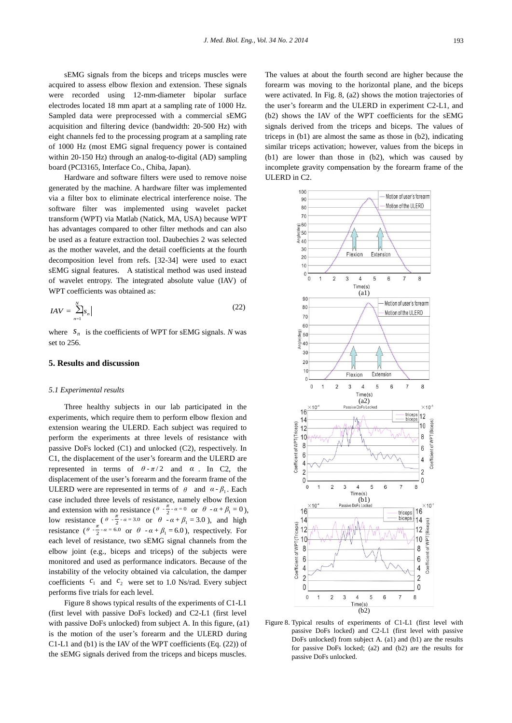sEMG signals from the biceps and triceps muscles were acquired to assess elbow flexion and extension. These signals were recorded using 12-mm-diameter bipolar surface electrodes located 18 mm apart at a sampling rate of 1000 Hz. Sampled data were preprocessed with a commercial sEMG acquisition and filtering device (bandwidth: 20-500 Hz) with eight channels fed to the processing program at a sampling rate of 1000 Hz (most EMG signal frequency power is contained within 20-150 Hz) through an analog-to-digital (AD) sampling board (PCI3165, Interface Co., Chiba, Japan).

Hardware and software filters were used to remove noise generated by the machine. A hardware filter was implemented via a filter box to eliminate electrical interference noise. The software filter was implemented using wavelet packet transform (WPT) via Matlab (Natick, MA, USA) because WPT has advantages compared to other filter methods and can also be used as a feature extraction tool. Daubechies 2 was selected as the mother wavelet, and the detail coefficients at the fourth decomposition level from refs. [32-34] were used to exact sEMG signal features. A statistical method was used instead of wavelet entropy. The integrated absolute value (IAV) of WPT coefficients was obtained as:

$$
IAV = \sum_{n=1}^{N} |s_n|
$$
 (22)

where  $S_n$  is the coefficients of WPT for sEMG signals. *N* was set to 256.

# **5. Results and discussion**

## *5.1 Experimental results*

Three healthy subjects in our lab participated in the experiments, which require them to perform elbow flexion and extension wearing the ULERD. Each subject was required to perform the experiments at three levels of resistance with passive DoFs locked (C1) and unlocked (C2), respectively. In C1, the displacement of the user's forearm and the ULERD are represented in terms of  $\theta - \pi/2$  and  $\alpha$ . In C2, the displacement of the user's forearm and the forearm frame of the ULERD were are represented in terms of  $\theta$  and  $\alpha - \beta_1$ . Each case included three levels of resistance, namely elbow flexion and extension with no resistance  $(\theta \cdot \frac{\pi}{2} \cdot \alpha = 0 \text{ or } \theta \cdot \alpha + \beta_1 = 0)$ , low resistance  $(\theta - \frac{\pi}{2} - \alpha = 3.0 \text{ or } \theta - \alpha + \beta_1 = 3.0)$ , and high resistance  $(\theta \cdot \frac{\pi}{2} \cdot \alpha = 6.0 \text{ or } \theta \cdot \alpha + \beta_1 = 6.0)$ , respectively. For each level of resistance, two sEMG signal channels from the elbow joint (e.g., biceps and triceps) of the subjects were monitored and used as performance indicators. Because of the instability of the velocity obtained via calculation, the damper coefficients  $c_1$  and  $c_2$  were set to 1.0 Ns/rad. Every subject performs five trials for each level.

Figure 8 shows typical results of the experiments of C1-L1 (first level with passive DoFs locked) and C2-L1 (first level with passive DoFs unlocked) from subject A. In this figure, (a1) is the motion of the user's forearm and the ULERD during C1-L1 and (b1) is the IAV of the WPT coefficients (Eq. (22)) of the sEMG signals derived from the triceps and biceps muscles.

The values at about the fourth second are higher because the forearm was moving to the horizontal plane, and the biceps were activated. In Fig. 8, (a2) shows the motion trajectories of the user's forearm and the ULERD in experiment C2-L1, and (b2) shows the IAV of the WPT coefficients for the sEMG signals derived from the triceps and biceps. The values of triceps in (b1) are almost the same as those in (b2), indicating similar triceps activation; however, values from the biceps in (b1) are lower than those in (b2), which was caused by incomplete gravity compensation by the forearm frame of the ULERD in C2.



Figure 8. Typical results of experiments of C1-L1 (first level with passive DoFs locked) and C2-L1 (first level with passive DoFs unlocked) from subject A. (a1) and (b1) are the results for passive DoFs locked; (a2) and (b2) are the results for passive DoFs unlocked.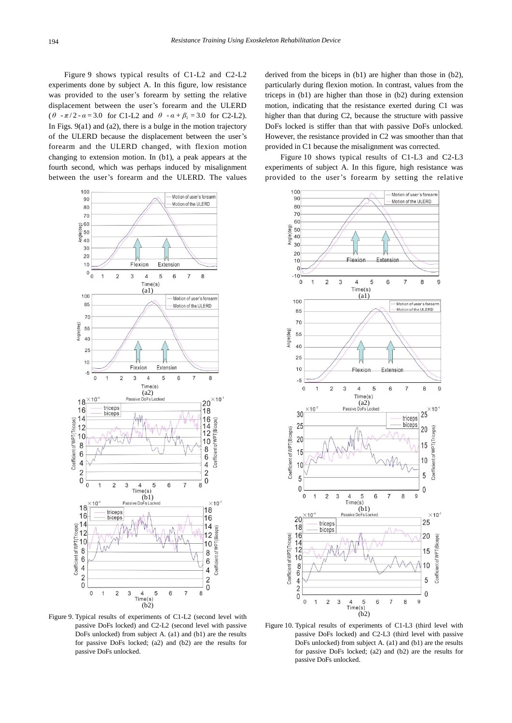Figure 9 shows typical results of C1-L2 and C2-L2 experiments done by subject A. In this figure, low resistance was provided to the user's forearm by setting the relative displacement between the user's forearm and the ULERD  $(\theta - \pi/2 - \alpha = 3.0)$  for C1-L2 and  $\theta - \alpha + \beta_1 = 3.0$  for C2-L2). In Figs. 9(a1) and (a2), there is a bulge in the motion trajectory of the ULERD because the displacement between the user's forearm and the ULERD changed, with flexion motion changing to extension motion. In (b1), a peak appears at the fourth second, which was perhaps induced by misalignment between the user's forearm and the ULERD. The values



Figure 9. Typical results of experiments of C1-L2 (second level with passive DoFs locked) and C2-L2 (second level with passive DoFs unlocked) from subject A. (a1) and (b1) are the results for passive DoFs locked; (a2) and (b2) are the results for passive DoFs unlocked.

derived from the biceps in (b1) are higher than those in (b2), particularly during flexion motion. In contrast, values from the triceps in (b1) are higher than those in (b2) during extension motion, indicating that the resistance exerted during C1 was higher than that during C2, because the structure with passive DoFs locked is stiffer than that with passive DoFs unlocked. However, the resistance provided in C2 was smoother than that provided in C1 because the misalignment was corrected.

Figure 10 shows typical results of C1-L3 and C2-L3 experiments of subject A. In this figure, high resistance was provided to the user's forearm by setting the relative



Figure 10. Typical results of experiments of C1-L3 (third level with passive DoFs locked) and C2-L3 (third level with passive DoFs unlocked) from subject A. (a1) and (b1) are the results for passive DoFs locked; (a2) and (b2) are the results for passive DoFs unlocked.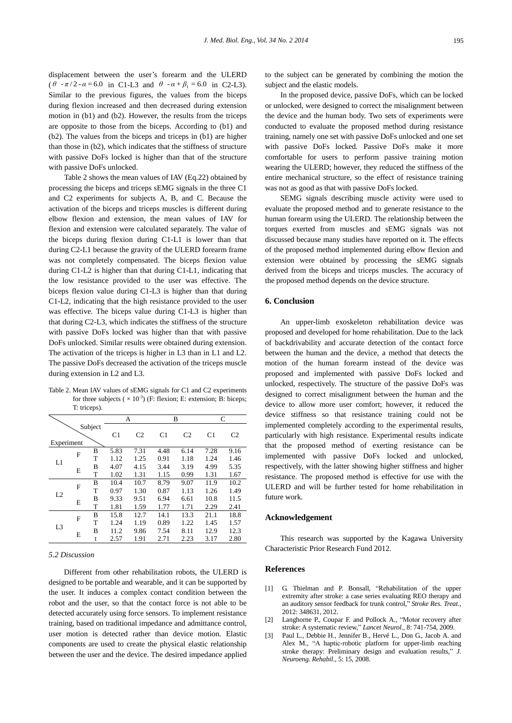displacement between the user's forearm and the ULERD  $(\theta - \pi/2 - \alpha = 6.0 \text{ in C1-L3 and } \theta - \alpha + \beta_1 = 6.0 \text{ in C2-L3).}$ Similar to the previous figures, the values from the biceps during flexion increased and then decreased during extension motion in (b1) and (b2). However, the results from the triceps are opposite to those from the biceps. According to (b1) and (b2). The values from the biceps and triceps in (b1) are higher than those in (b2), which indicates that the stiffness of structure with passive DoFs locked is higher than that of the structure with passive DoFs unlocked.

Table 2 shows the mean values of IAV (Eq.22) obtained by processing the biceps and triceps sEMG signals in the three C1 and C2 experiments for subjects A, B, and C. Because the activation of the biceps and triceps muscles is different during elbow flexion and extension, the mean values of IAV for flexion and extension were calculated separately. The value of the biceps during flexion during C1-L1 is lower than that during C2-L1 because the gravity of the ULERD forearm frame was not completely compensated. The biceps flexion value during C1-L2 is higher than that during C1-L1, indicating that the low resistance provided to the user was effective. The biceps flexion value during C1-L3 is higher than that during C1-L2, indicating that the high resistance provided to the user was effective. The biceps value during C1-L3 is higher than that during C2-L3, which indicates the stiffness of the structure with passive DoFs locked was higher than that with passive DoFs unlocked. Similar results were obtained during extension. The activation of the triceps is higher in L3 than in L1 and L2. The passive DoFs decreased the activation of the triceps muscle during extension in L2 and L3.

Table 2. Mean IAV values of sEMG signals for C1 and C2 experiments for three subjects ( $\times$  10<sup>-3</sup>) (F: flexion; E: extension; B: biceps; T: triceps).

|                |   |                | А              |                | B              |                | C              |      |
|----------------|---|----------------|----------------|----------------|----------------|----------------|----------------|------|
| Subject        |   | C <sub>1</sub> | C <sub>2</sub> | C <sub>1</sub> | C <sub>2</sub> | C <sub>1</sub> | C <sub>2</sub> |      |
| Experiment     |   |                |                |                |                |                |                |      |
| L1             | F | B              | 5.83           | 7.31           | 4.48           | 6.14           | 7.28           | 9.16 |
|                |   | T              | 1.12           | 1.25           | 0.91           | 1.18           | 1.24           | 1.46 |
|                | E | B              | 4.07           | 4.15           | 3.44           | 3.19           | 4.99           | 5.35 |
|                |   | T              | 1.02           | 1.31           | 1.15           | 0.99           | 1.31           | 1.67 |
| L2             | F | B              | 10.4           | 10.7           | 8.79           | 9.07           | 11.9           | 10.2 |
|                |   | T              | 0.97           | 1.30           | 0.87           | 1.13           | 1.26           | 1.49 |
|                | E | B              | 9.33           | 9.51           | 6.94           | 6.61           | 10.8           | 11.5 |
|                |   | T              | 1.81           | 1.59           | 1.77           | 1.71           | 2.29           | 2.41 |
| L <sub>3</sub> | F | B              | 15.8           | 12.7           | 14.1           | 13.3           | 21.1           | 18.8 |
|                |   | T              | 1.24           | 1.19           | 0.89           | 1.22           | 1.45           | 1.57 |
|                | E | B              | 11.2           | 9.86           | 7.54           | 8.11           | 12.9           | 12.3 |
|                |   | t              | 2.57           | 1.91           | 2.71           | 2.23           | 3.17           | 2.80 |

*5.2 Discussion*

Different from other rehabilitation robots, the ULERD is designed to be portable and wearable, and it can be supported by the user. It induces a complex contact condition between the robot and the user, so that the contact force is not able to be detected accurately using force sensors. To implement resistance training, based on traditional impedance and admittance control, user motion is detected rather than device motion. Elastic components are used to create the physical elastic relationship between the user and the device. The desired impedance applied to the subject can be generated by combining the motion the subject and the elastic models.

In the proposed device, passive DoFs, which can be locked or unlocked, were designed to correct the misalignment between the device and the human body. Two sets of experiments were conducted to evaluate the proposed method during resistance training, namely one set with passive DoFs unlocked and one set with passive DoFs locked. Passive DoFs make it more comfortable for users to perform passive training motion wearing the ULERD; however, they reduced the stiffness of the entire mechanical structure, so the effect of resistance training was not as good as that with passive DoFs locked.

SEMG signals describing muscle activity were used to evaluate the proposed method and to generate resistance to the human forearm using the ULERD. The relationship between the torques exerted from muscles and sEMG signals was not discussed because many studies have reported on it. The effects of the proposed method implemented during elbow flexion and extension were obtained by processing the sEMG signals derived from the biceps and triceps muscles. The accuracy of the proposed method depends on the device structure.

# **6. Conclusion**

An upper-limb exoskeleton rehabilitation device was proposed and developed for home rehabilitation. Due to the lack of backdrivability and accurate detection of the contact force between the human and the device, a method that detects the motion of the human forearm instead of the device was proposed and implemented with passive DoFs locked and unlocked, respectively. The structure of the passive DoFs was designed to correct misalignment between the human and the device to allow more user comfort; however, it reduced the device stiffness so that resistance training could not be implemented completely according to the experimental results, particularly with high resistance. Experimental results indicate that the proposed method of exerting resistance can be implemented with passive DoFs locked and unlocked, respectively, with the latter showing higher stiffness and higher resistance. The proposed method is effective for use with the ULERD and will be further tested for home rehabilitation in future work.

## **Acknowledgement**

This research was supported by the Kagawa University Characteristic Prior Research Fund 2012.

## **References**

- [1] G. Thielman and P. Bonsall, "Rehabilitation of the upper extremity after stroke: a case series evaluating REO therapy and an auditory sensor feedback for trunk control," *Stroke Res. Treat*., 2012: 348631, 2012.
- [2] Langhorne P., Coupar F. and Pollock A., "Motor recovery after stroke: A systematic review," *Lancet Neurol.*, 8: 741-754, 2009.
- Paul L., Debbie H., Jennifer B., Hervé L., Don G., Jacob A. and Alex M., "A haptic-robotic platform for upper-limb reaching stroke therapy: Preliminary design and evaluation results," *J. Neuroeng. Rehabil*., 5: 15, 2008.